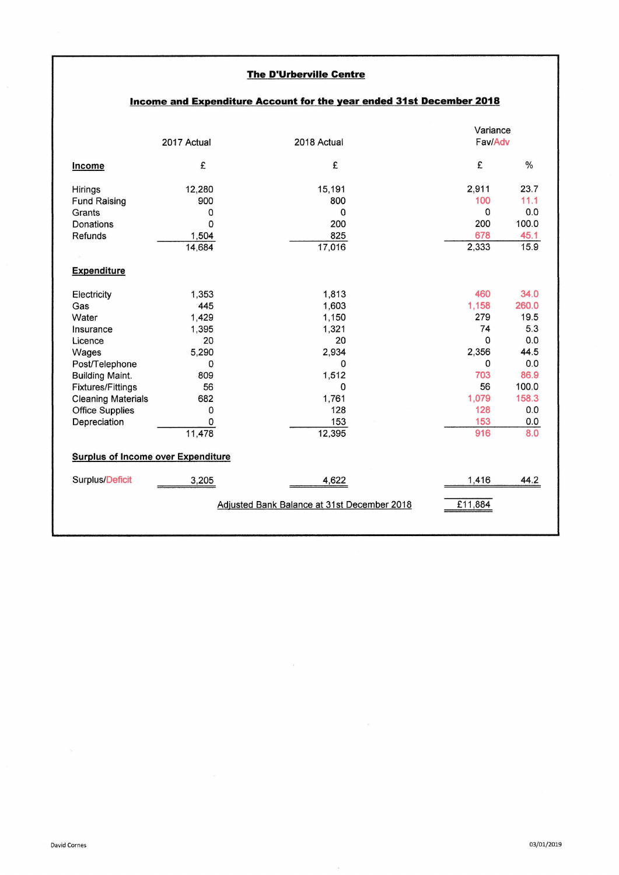## **The D'Urberville Centre**

|                                                                                                                                                                                                             | 2017 Actual                                                                                              | 2018 Actual                                                                                                |  | Variance<br>Fav/Adv                                                                                   |                                                                                                   |  |  |  |
|-------------------------------------------------------------------------------------------------------------------------------------------------------------------------------------------------------------|----------------------------------------------------------------------------------------------------------|------------------------------------------------------------------------------------------------------------|--|-------------------------------------------------------------------------------------------------------|---------------------------------------------------------------------------------------------------|--|--|--|
| Income                                                                                                                                                                                                      | £                                                                                                        | £                                                                                                          |  | £                                                                                                     | $\frac{1}{2}$                                                                                     |  |  |  |
| Hirings<br><b>Fund Raising</b><br>Grants<br>Donations<br>Refunds                                                                                                                                            | 12,280<br>900<br>$\mathbf 0$<br>$\Omega$<br>1,504<br>14,684                                              | 15,191<br>800<br>$\Omega$<br>200<br>825<br>17,016                                                          |  | 2,911<br>100<br>$\Omega$<br>200<br>678<br>2,333                                                       | 23.7<br>11.1<br>0.0<br>100.0<br>45.1<br>15.9                                                      |  |  |  |
| <b>Expenditure</b>                                                                                                                                                                                          |                                                                                                          |                                                                                                            |  |                                                                                                       |                                                                                                   |  |  |  |
| Electricity<br>Gas<br>Water<br>Insurance<br>Licence<br>Wages<br>Post/Telephone<br><b>Building Maint.</b><br><b>Fixtures/Fittings</b><br><b>Cleaning Materials</b><br><b>Office Supplies</b><br>Depreciation | 1.353<br>445<br>1,429<br>1,395<br>20<br>5,290<br>$\Omega$<br>809<br>56<br>682<br>$\Omega$<br>0<br>11,478 | 1,813<br>1,603<br>1,150<br>1,321<br>20<br>2,934<br>$\Omega$<br>1,512<br>0<br>1,761<br>128<br>153<br>12,395 |  | 460<br>1,158<br>279<br>74<br>$\Omega$<br>2,356<br>$\Omega$<br>703<br>56<br>1,079<br>128<br>153<br>916 | 34.0<br>260.0<br>19.5<br>5.3<br>0.0<br>44.5<br>0.0<br>86.9<br>100.0<br>158.3<br>0.0<br>0.0<br>8.0 |  |  |  |
| <b>Surplus of Income over Expenditure</b>                                                                                                                                                                   |                                                                                                          |                                                                                                            |  |                                                                                                       |                                                                                                   |  |  |  |
| Surplus/Deficit                                                                                                                                                                                             | 3,205                                                                                                    | 4,622                                                                                                      |  | 1,416                                                                                                 | 44.2                                                                                              |  |  |  |
| Adjusted Bank Balance at 31st December 2018<br>£11,884                                                                                                                                                      |                                                                                                          |                                                                                                            |  |                                                                                                       |                                                                                                   |  |  |  |

 $\mathcal{L}_{\mathbf{Z}}$ 

## Income and Expenditure Account for the year ended 31st December 2018